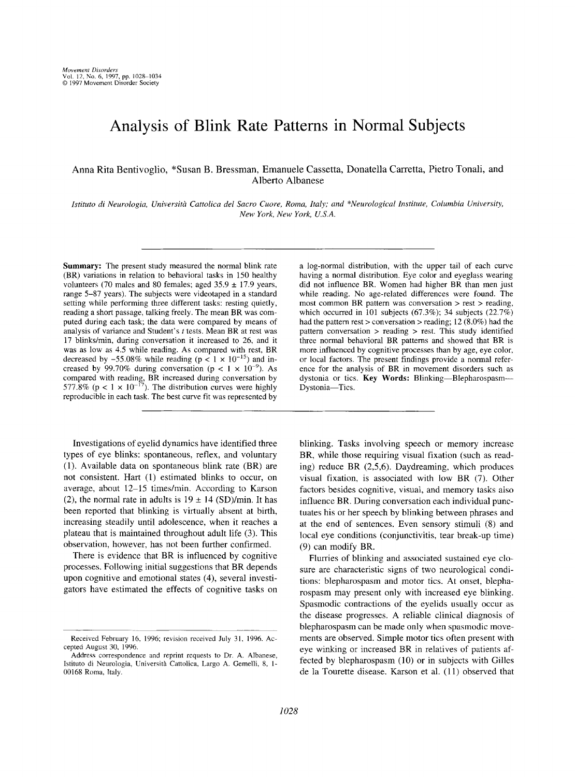# Analysis of Blink Rate Patterns in Normal Subjects

Anna Rita Bentivoglio, \*Susan B. Bressman, Emanuele Cassetta, Donatella Carretta, Pietro Tonali, and Albert0 Albanese

Istituto di Neurologia, Università Cattolica del Sacro Cuore, Roma, Italy; and \*Neurological Institute, Columbia University, *New York, New York, U.S.A.* 

**Summary:** The present study measured the normal blink rate (BR) variations in relation to behavioral tasks in 150 healthy volunteers (70 males and 80 females; aged  $35.9 \pm 17.9$  years, range 5-87 years). The subjects were videotaped in a standard setting while performing three different tasks: resting quietly, reading a short passage, talking freely. The mean BR was computed during each task; the data were compared by means of analysis of variance and Student's *t* tests. Mean BR at rest was 17 blinks/min, during conversation it increased to 26, and it was as low as 4.5 while reading. As compared with rest, BR decreased by -55.08% while reading ( $p < 1 \times 10^{-15}$ ) and increased by 99.70% during conversation ( $p < 1 \times 10^{-9}$ ). As compared with reading, BR increased during conversation by 577.8% (p <  $1 \times 10^{-17}$ ). The distribution curves were highly reproducible in each task. The best curve fit was represented by

Investigations of eyelid dynamics have identified three types of eye blinks: spontaneous, reflex, and voluntary (1). Available data on spontaneous blink rate (BR) are not consistent. Hart (1) estimated blinks to occur, on average, about 12-15 times/min. According to Karson (2), the normal rate in adults is  $19 \pm 14$  (SD)/min. It has been reported that blinking is virtually absent at birth, increasing steadily until adolescence, when it reaches a plateau that is maintained throughout adult life (3). This observation, however, has not been further confirmed.

There is evidence that BR is influenced by cognitive processes. Following initial suggestions that BR depends upon cognitive and emotional states (4), several investigators have estimated the effects of cognitive tasks on a log-normal distribution, with the upper tail of each curve having a normal distribution. Eye color and eyeglass wearing did not influence BR. Women had higher BR than men just while reading. No age-related differences were found. The most common BR pattern was conversation > rest > reading, which occurred in 101 subjects (67.3%); 34 subjects (22.7%) had the pattern rest  $>$  conversation  $>$  reading; 12 (8.0%) had the pattern conversation  $>$  reading  $>$  rest. This study identified three normal behavioral BR patterns and showed that BR is more influenced by cognitive processes than by age, eye color, or local factors. The present findings provide a normal reference for the analysis of BR in movement disorders such as dystonia or tics. Key Words: Blinking-Blepharospasm-Dystonia-Tics.

blinking. Tasks involving speech or memory increase BR, while those requiring visual fixation (such as reading) reduce BR *(2,5,6).* Daydreaming, which produces visual fixation, is associated with low BR (7). Other factors besides cognitive, visual, and memory tasks also influence BR. During conversation each individual punctuates his or her speech by blinking between phrases and at the end of sentences. Even sensory stimuli **(8)** and local eye conditions (conjunctivitis, tear break-up time) (9) can modify BR.

Flurries of blinking and associated sustained eye closure are characteristic signs of two neurological conditions: blepharospasm and motor tics. At onset, blepharospasm may present only with increased eye blinking. Spasmodic contractions of the eyelids usually occur as the disease progresses. A reliable clinical diagnosis of blepharospasm can be made only when spasmodic movements are observed. Simple motor tics often present with eye winking or increased BR in relatives of patients affected by blepharospasm (10) or in subjects with Gilles de la Tourette disease. Karson et al. (11) observed that

Received February 16, 1996; revision received July 31, 1996. Accepted August **30,** 1996.

Address correspondence and reprint requests to Dr. **A.** Albanese, Istituto di Neurologia, Universith Cattolica, Largo **A.** Gemelli, 8, I-00168 Roma, Italy.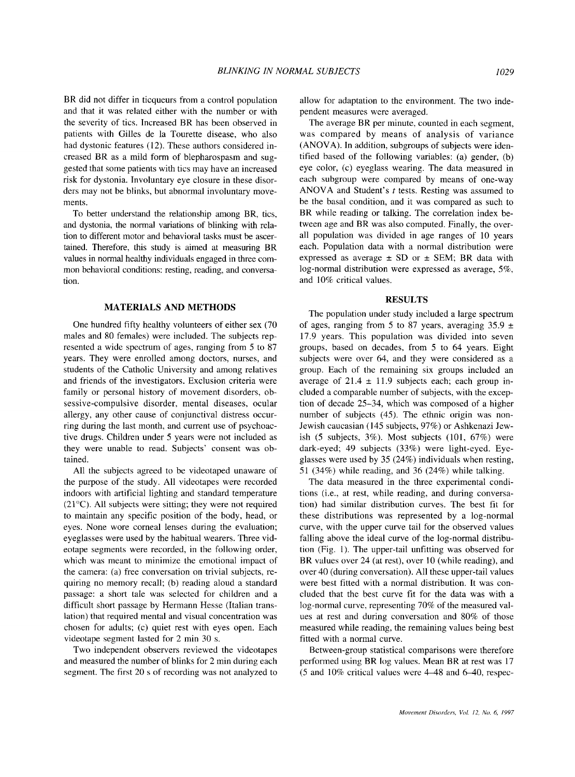BR did not differ in ticqueurs from a control population and that it was related either with the number or with the severity of tics. Increased BR has been observed in patients with Gilles de la Tourette disease, who also had dystonic features (12). These authors considered increased BR as a mild form of blepharospasm and suggested that some patients with tics may have an increased risk for dystonia. Involuntary eye closure in these disorders may not be blinks, but abnormal involuntary movements.

To better understand the relationship among BR, tics, and dystonia, the normal variations of blinking with relation to different motor and behavioral tasks must be ascertained. Therefore, this study is aimed at measuring BR values in normal healthy individuals engaged in three common behavioral conditions: resting, reading, and conversation.

## **MATERIALS AND METHODS**

One hundred fifty healthy volunteers of either sex (70 males and 80 females) were included. The subjects represented a wide spectrum of ages, ranging from *5* to 87 years. They were enrolled among doctors, nurses, and students of the Catholic University and among relatives and friends of the investigators. Exclusion criteria were family or personal history of movement disorders, obsessive-compulsive disorder, mental diseases, ocular allergy, any other cause of conjunctival distress occurring during the last month, and current use of psychoactive drugs. Children under 5 years were not included as they were unable to read. Subjects' consent was obtained.

All the subjects agreed to be videotaped unaware of the purpose of the study. All videotapes were recorded indoors with artificial lighting and standard temperature (21°C). All subjects were sitting; they were not required to maintain any specific position of the body, head, or eyes. None wore corneal lenses during the evaluation; eyeglasses were used by the habitual wearers. Three videotape segments were recorded, in the following order, which was meant to minimize the emotional impact of the camera: (a) free conversation on trivial subjects, requiring no memory recall; (b) reading aloud a standard passage: a short tale was selected for children and a difficult short passage by Hermann Hesse (Italian translation) that required mental and visual concentration was chosen for adults; (c) quiet rest with eyes open. Each videotape segment lasted for 2 min 30 s.

Two independent observers reviewed the videotapes and measured the number of blinks for 2 min during each segment. The first 20 s of recording was not analyzed to allow for adaptation to the environment. The two independent measures were averaged.

The average BR per minute, counted in each segment, was compared by means of analysis of variance (ANOVA). In addition, subgroups of subjects were identified based of the following variables: (a) gender, (b) eye color, (c) eyeglass wearing. The data measured in each subgroup were compared by means of one-way ANOVA and Student's *t* tests. Resting was assumed to be the basal condition, and it was compared as such to BR while reading or talking. The correlation index between age and BR was also computed. Finally, the overall population was divided in age ranges of 10 years each. Population data with a normal distribution were expressed as average  $\pm$  SD or  $\pm$  SEM; BR data with log-normal distribution were expressed as average, *5%,*  and 10% critical values.

### **RESULTS**

The population under study included a large spectrum of ages, ranging from 5 to 87 years, averaging  $35.9 \pm$ 17.9 years. This population was divided into seven groups, based on decades, from 5 to 64 years. Eight subjects were over 64, and they were considered as a group. Each of the remaining six groups included an average of  $21.4 \pm 11.9$  subjects each; each group included a comparable number of subjects, with the exception of decade 25-34, which was composed of a higher number of subjects (45). The ethnic origin was non-Jewish Caucasian (145 subjects, 97%) or Ashkenazi Jewish (5 subjects, 3%). Most subjects (101, 67%) were dark-eyed; 49 subjects (33%) were light-eyed. Eyeglasses were used by 35 (24%) individuals when resting, 51 (34%) while reading, and 36 (24%) while talking.

The data measured in the three experimental conditions (i.e., at rest, while reading, and during conversation) had similar distribution curves. The best fit for these distributions was represented by a log-normal curve, with the upper curve tail for the observed values falling above the ideal curve of the log-normal distribution (Fig. I). The upper-tail unfitting was observed for BR values over 24 (at rest), over 10 (while reading), and over 40 (during conversation). All these upper-tail values were best fitted with a normal distribution. It was concluded that the best curve fit for the data was with a log-normal curve, representing 70% of the measured values at rest and during conversation and 80% of those measured while reading, the remaining values being best fitted with a normal curve.

Between-group statistical comparisons were therefore performed using BR log values. Mean BR at rest was 17  $(5 \text{ and } 10\% \text{ critical values were } 4-48 \text{ and } 6-40, \text{ respectively})$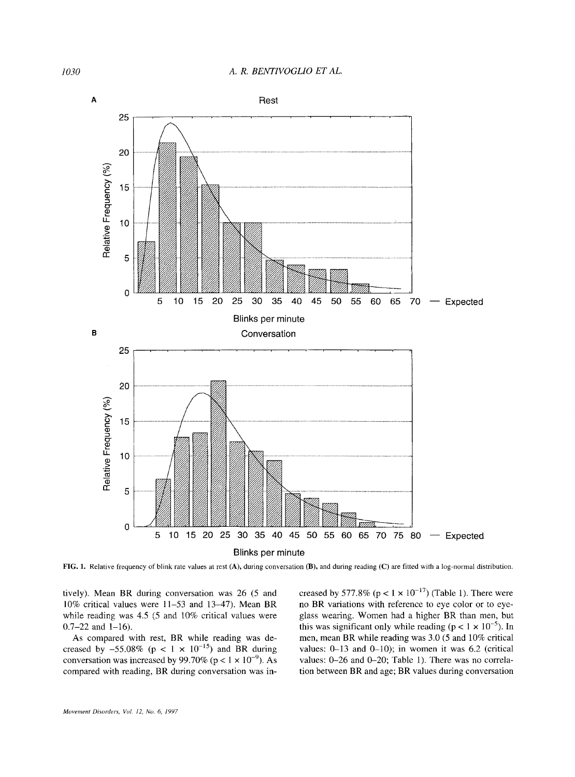

**FIG. 1.** Relative frequency of blink rate values at rest **(A),** during conversation **(B),** and during reading **(C)** are fitted with a log-normal distribution.

tively). Mean BR during conversation was 26 *(5* and 10% critical values were  $11-53$  and  $13-47$ ). Mean BR while reading was 4.5 *(5* and 10% critical values were  $0.7-22$  and  $1-16$ ).

As compared with rest, BR while reading was decreased by  $-55.08\%$  (p < 1 × 10<sup>-15</sup>) and BR during conversation was increased by 99.70% ( $p < 1 \times 10^{-9}$ ). As compared with reading, BR during conversation was increased by 577.8%  $(p < 1 \times 10^{-17})$  (Table 1). There were no BR variations with reference to eye color or to eyeglass wearing. Women had a higher BR than men, but this was significant only while reading ( $p < 1 \times 10^{-5}$ ). In men, mean BR while reading was 3.0 (5 and 10% critical values:  $0-13$  and  $0-10$ ); in women it was 6.2 (critical values: 0-26 and 0-20; Table 1). There was no correlation between BR and age; BR values during conversation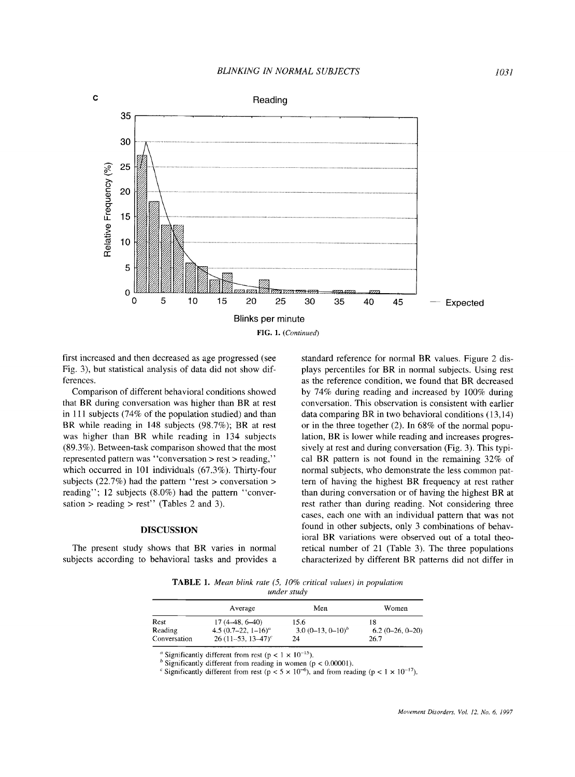

first increased and then decreased as age progressed (see Fig. 3), but statistical analysis of data did not show differences.

Comparison of different behavioral conditions showed that BR during conversation was higher than BR at rest in  $111$  subjects (74% of the population studied) and than BR while reading in 148 subjects (98.7%); BR at rest was higher than BR while reading in 134 subjects (89.3%). Between-task comparison showed that the most represented pattern was "conversation > rest > reading," which occurred in 101 individuals (67.3%). Thirty-four subjects  $(22.7%)$  had the pattern "rest > conversation > reading"; 12 subjects (8.0%) had the pattern "conversation  $>$  reading  $>$  rest'' (Tables 2 and 3).

#### **DISCUSSION**

The present study shows that BR varies in normal subjects according to behavioral tasks and provides a standard reference for normal BR values. Figure 2 displays percentiles for BR in normal subjects. Using rest as the reference condition, we found that BR decreased by 74% during reading and increased by 100% during conversation. This observation is consistent with earlier data comparing BR in two behavioral conditions  $(13,14)$ or in the three together (2). In 68% of the normal population, BR is lower while reading and increases progressively at rest and during conversation (Fig. 3). This typical BR pattern is not found in the remaining 32% of normal subjects, who demonstrate the less common pattern of having the highest BR frequency at rest rather than during conversation or of having the highest BR at rest rather than during reading. Not considering three cases, each one with an individual pattern that was not found in other subjects, only 3 combinations of behavioral BR variations were observed out of a total theoretical number of 21 (Table 3). The three populations characterized by different BR patterns did not differ in

**TABLE 1.** *Mean blink rate (5, 10% critical values) in population under study* 

|              | Average                | Men                  | Women             |  |
|--------------|------------------------|----------------------|-------------------|--|
| Rest         | $17(4-48, 6-40)$       | 15.6                 | 18                |  |
| Reading      | 4.5 $(0.7-22, 1-16)^a$ | 3.0 $(0-13, 0-10)^b$ | $6.2(0-26, 0-20)$ |  |
| Conversation | $26(11-53, 13-47)^c$   | 24                   | 26.7              |  |

<sup>*a*</sup> Significantly different from rest ( $p < 1 \times 10^{-15}$ ).

 $b$  Significantly different from reading in women (p < 0.00001).

Significantly different from rest ( $p < 5 \times 10^{-6}$ ), and from reading ( $p < 1 \times 10^{-17}$ ).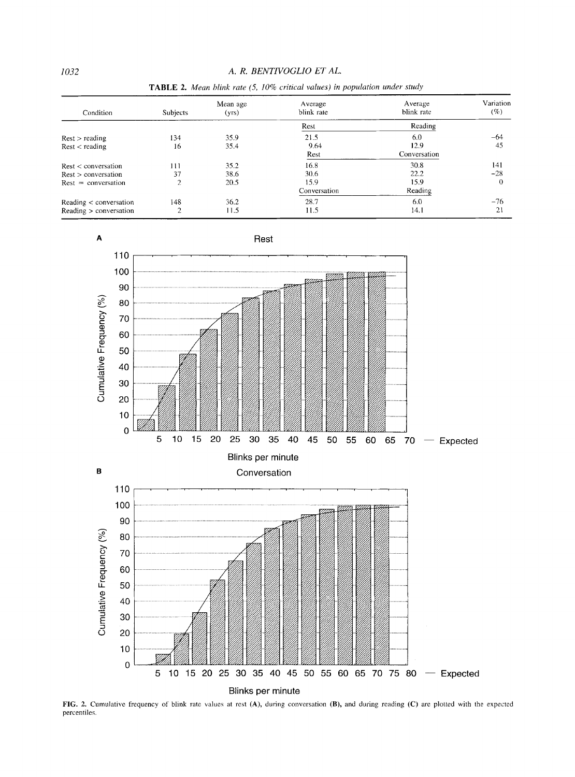| Condition                  | Subjects                 | Mean age<br>(yrs) | Average<br>blink rate | Average<br>blink rate | Variation<br>(%) |
|----------------------------|--------------------------|-------------------|-----------------------|-----------------------|------------------|
|                            |                          |                   | Rest                  | Reading               |                  |
| $Rest$ > reading           | 134                      | 35.9              | 21.5                  | 6.0                   | $-64$            |
| $Rest <$ reading           | 16                       | 35.4              | 9.64                  | 12.9                  | 45               |
|                            |                          |                   | Rest                  | Conversation          |                  |
| $Rest <$ conversation      | 111                      | 35.2              | 16.8                  | 30.8                  | 141              |
| $Rest$ > conversation      | 37                       | 38.6              | 30.6                  | 22.2                  | $-28$            |
| $Rest = conversation$      | 2                        | 20.5              | 15.9                  | 15.9                  |                  |
|                            |                          |                   | Conversation          | Reading               |                  |
| Reading $\lt$ conversation | 148                      | 36.2              | 28.7                  | 6.0                   | $-76$            |
| Reading > conversation     | $\overline{\mathcal{L}}$ | 11.5              | 11.5                  | 14.1                  | 21               |

**TABLE 2.** *Mean blink rate (5, 10% critical values) in population under study* 



FIG. 2. Cumulative frequency of blink rate values at rest (A), during conversation (B), and during reading (C) are plotted with the expected percentiles.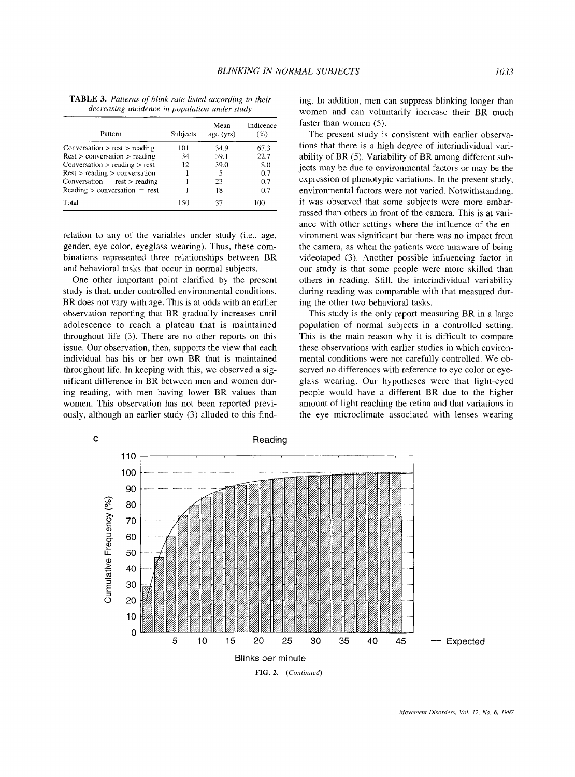| Pattern                           | Subjects | Mean<br>age (yrs) | Indicence<br>(%) |
|-----------------------------------|----------|-------------------|------------------|
| Conversation $>$ rest $>$ reading | 101      | 34.9              | 67.3             |
| Rest > conversion > reading       | 34       | 39.1              | 22.7             |
| Conversation $>$ reading $>$ rest | 12.      | 39.0              | 8.0              |
| $Rest$ > reading > conversation   |          | 5                 | 0.7              |
| Conversation $=$ rest $>$ reading |          | 23                | 0.7              |
| $Reading > conversation = rest$   |          | 18                | 0.7              |
| Total                             | 150      | 37                | 100              |

**TABLE 3.** *Patterns* **of** *blink rate listed according to their decreasing incidence in population under study* 

relation to any of the variables under study (i.e., age, gender, eye color, eyeglass wearing). Thus, these combinations represented three relationships between BR and behavioral tasks that occur in normal subjects.

One other important point clarified by the present study is that, under controlled environmental conditions, BR does not vary with age. This is at odds with an earlier observation reporting that BR gradually increases until adolescence to reach a plateau that is maintained throughout life *(3).* There are no other reports on this issue. Our observation, then, supports the view that each individual has his or her own BR that is maintained throughout life. In keeping with this, we observed a significant difference in BR between men and women during reading, with men having lower BR values than women. This observation has not been reported previously, although an earlier study (3) alluded to this finding. In addition, men can suppress blinking longer than women and can voluntarily increase their BR much faster than women *(5).* 

The present study is consistent with earlier observations that there is a high degree of interindividual variability of BR *(5).* Variability of BR among different subjects may be due to environmental factors or may be the expression of phenotypic variations. In the present study, environmental factors were not varied. Notwithstanding, it was observed that some subjects were more embarrassed than others in front of the camera. This is at variance with other settings where the influence of the environment was significant but there was no impact from the camera, as when the patients were unaware of being videotaped (3). Another possible influencing factor in our study is that some people were more skilled than others in reading. Still, the interindividual variability during reading was comparable with that measured during the other two behavioral tasks.

This study is the only report measuring BR in a large population of normal subjects in a controlled setting. This is the main reason why it is difficult to compare these observations with earlier studies in which environmental conditions were not carefully controlled. We observed no differences with reference to eye color or eyeglass wearing. Our hypotheses were that light-eyed people would have a different BR due to the higher amount of light reaching the retina and that variations in the eye microclimate associated with lenses wearing